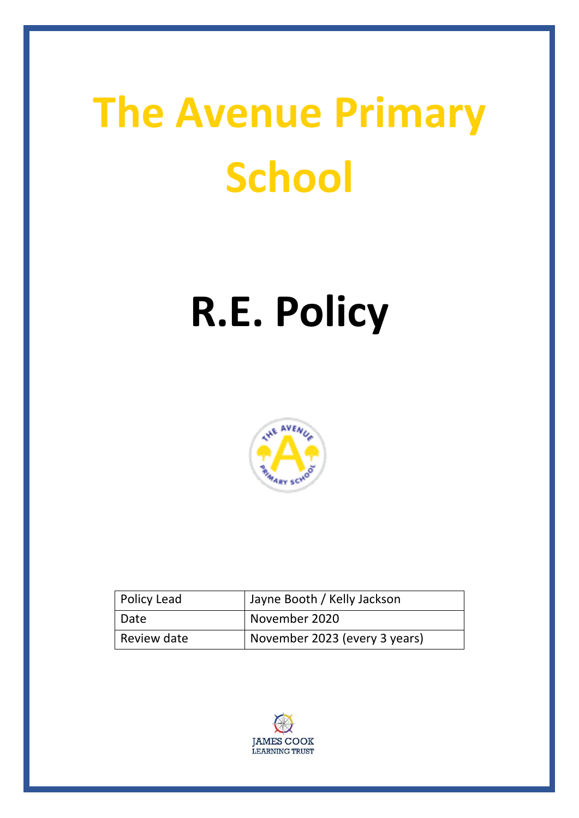# **The Avenue Primary School**

# **R.E. Policy**



| <b>Policy Lead</b> | Jayne Booth / Kelly Jackson   |
|--------------------|-------------------------------|
| Date               | November 2020                 |
| Review date        | November 2023 (every 3 years) |

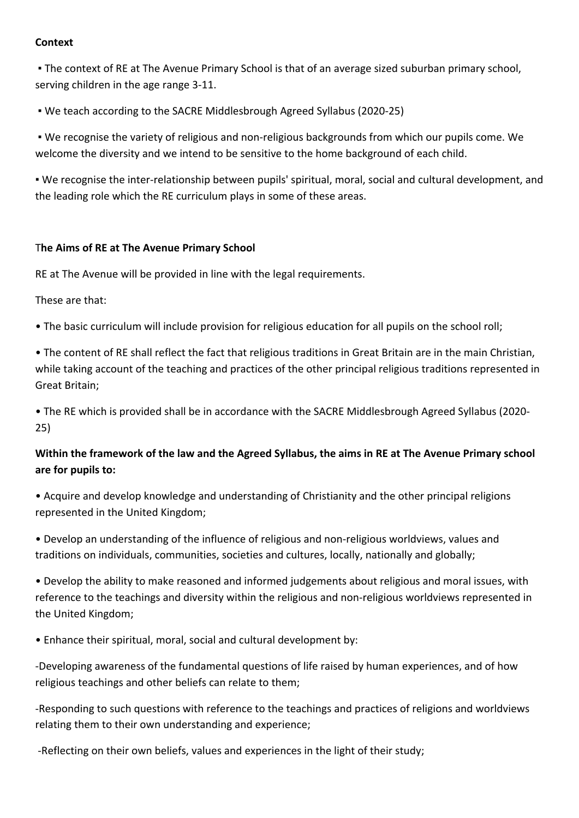## **Context**

. The context of RE at The Avenue Primary School is that of an average sized suburban primary school, serving children in the age range 3-11.

. We teach according to the SACRE Middlesbrough Agreed Syllabus (2020-25)

. We recognise the variety of religious and non-religious backgrounds from which our pupils come. We welcome the diversity and we intend to be sensitive to the home background of each child.

• We recognise the inter-relationship between pupils' spiritual, moral, social and cultural development, and the leading role which the RE curriculum plays in some of these areas.

# The Aims of RE at The Avenue Primary School

RE at The Avenue will be provided in line with the legal requirements.

These are that:

• The basic curriculum will include provision for religious education for all pupils on the school roll;

• The content of RE shall reflect the fact that religious traditions in Great Britain are in the main Christian, while taking account of the teaching and practices of the other principal religious traditions represented in Great Britain:

• The RE which is provided shall be in accordance with the SACRE Middlesbrough Agreed Syllabus (2020-25) 

# Within the framework of the law and the Agreed Syllabus, the aims in RE at The Avenue Primary school are for pupils to:

• Acquire and develop knowledge and understanding of Christianity and the other principal religions represented in the United Kingdom;

• Develop an understanding of the influence of religious and non-religious worldviews, values and traditions on individuals, communities, societies and cultures, locally, nationally and globally;

• Develop the ability to make reasoned and informed judgements about religious and moral issues, with reference to the teachings and diversity within the religious and non-religious worldviews represented in the United Kingdom;

• Enhance their spiritual, moral, social and cultural development by:

-Developing awareness of the fundamental questions of life raised by human experiences, and of how religious teachings and other beliefs can relate to them;

-Responding to such questions with reference to the teachings and practices of religions and worldviews relating them to their own understanding and experience;

-Reflecting on their own beliefs, values and experiences in the light of their study;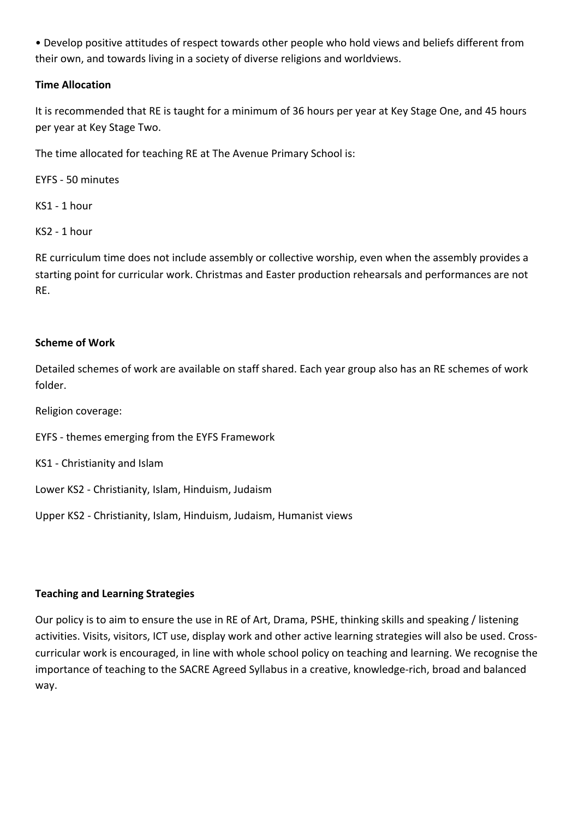• Develop positive attitudes of respect towards other people who hold views and beliefs different from their own, and towards living in a society of diverse religions and worldviews.

# **Time Allocation**

It is recommended that RE is taught for a minimum of 36 hours per year at Key Stage One, and 45 hours per year at Key Stage Two.

The time allocated for teaching RE at The Avenue Primary School is:

EYFS - 50 minutes

KS1 - 1 hour

 $KS2 - 1 hour$ 

RE curriculum time does not include assembly or collective worship, even when the assembly provides a starting point for curricular work. Christmas and Easter production rehearsals and performances are not RE. 

#### **Scheme of Work**

Detailed schemes of work are available on staff shared. Each year group also has an RE schemes of work folder. 

Religion coverage:

EYFS - themes emerging from the EYFS Framework

KS1 - Christianity and Islam

Lower KS2 - Christianity, Islam, Hinduism, Judaism

Upper KS2 - Christianity, Islam, Hinduism, Judaism, Humanist views

# **Teaching and Learning Strategies**

Our policy is to aim to ensure the use in RE of Art, Drama, PSHE, thinking skills and speaking / listening activities. Visits, visitors, ICT use, display work and other active learning strategies will also be used. Crosscurricular work is encouraged, in line with whole school policy on teaching and learning. We recognise the importance of teaching to the SACRE Agreed Syllabus in a creative, knowledge-rich, broad and balanced way.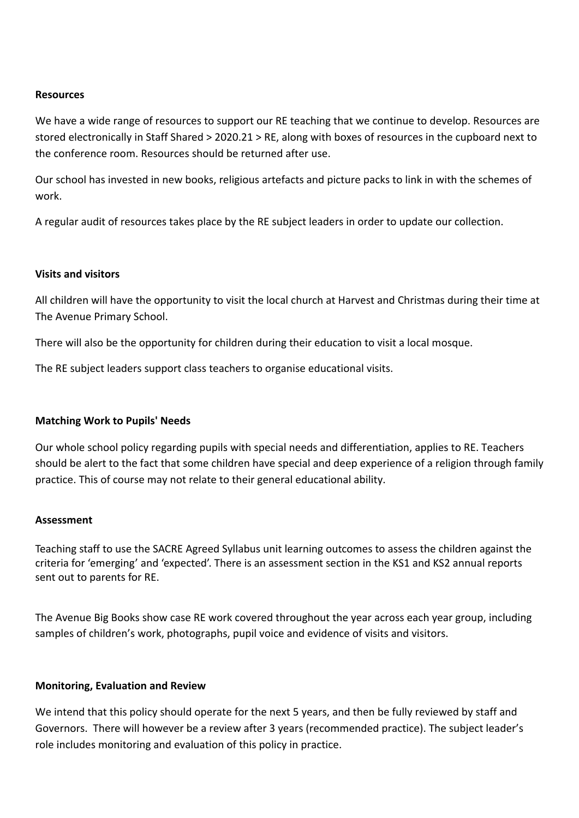#### **Resources**

We have a wide range of resources to support our RE teaching that we continue to develop. Resources are stored electronically in Staff Shared > 2020.21 > RE, along with boxes of resources in the cupboard next to the conference room. Resources should be returned after use.

Our school has invested in new books, religious artefacts and picture packs to link in with the schemes of work. 

A regular audit of resources takes place by the RE subject leaders in order to update our collection.

#### **Visits and visitors**

All children will have the opportunity to visit the local church at Harvest and Christmas during their time at The Avenue Primary School.

There will also be the opportunity for children during their education to visit a local mosque.

The RE subject leaders support class teachers to organise educational visits.

#### **Matching Work to Pupils' Needs**

Our whole school policy regarding pupils with special needs and differentiation, applies to RE. Teachers should be alert to the fact that some children have special and deep experience of a religion through family practice. This of course may not relate to their general educational ability.

#### **Assessment**

Teaching staff to use the SACRE Agreed Syllabus unit learning outcomes to assess the children against the criteria for 'emerging' and 'expected'. There is an assessment section in the KS1 and KS2 annual reports sent out to parents for RE.

The Avenue Big Books show case RE work covered throughout the year across each year group, including samples of children's work, photographs, pupil voice and evidence of visits and visitors.

#### **Monitoring, Evaluation and Review**

We intend that this policy should operate for the next 5 years, and then be fully reviewed by staff and Governors. There will however be a review after 3 years (recommended practice). The subject leader's role includes monitoring and evaluation of this policy in practice.